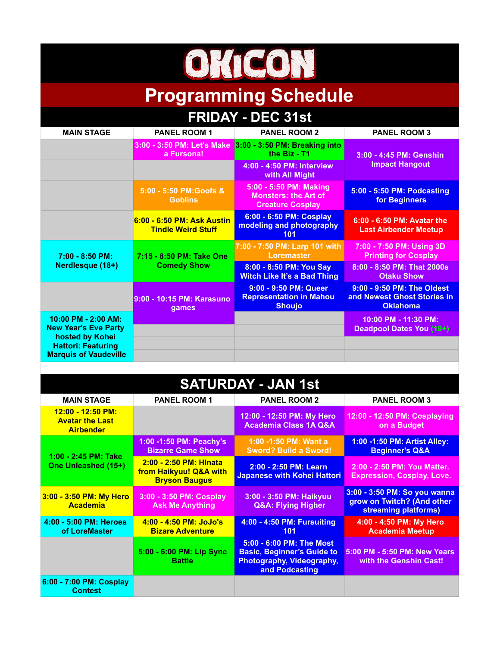## OMCON

## **Programming Schedule**

| <b>FRIDAY - DEC 31st</b>                                                                                                             |                                                         |                                                                                  |                                                                              |  |  |
|--------------------------------------------------------------------------------------------------------------------------------------|---------------------------------------------------------|----------------------------------------------------------------------------------|------------------------------------------------------------------------------|--|--|
| <b>MAIN STAGE</b>                                                                                                                    | <b>PANEL ROOM 1</b>                                     | <b>PANEL ROOM 2</b>                                                              | <b>PANEL ROOM 3</b>                                                          |  |  |
|                                                                                                                                      | 3:00 - 3:50 PM: Let's Make<br>a Fursona!                | 3:00 - 3:50 PM: Breaking into<br>the Biz - T1                                    | 3:00 - 4:45 PM: Genshin<br><b>Impact Hangout</b>                             |  |  |
|                                                                                                                                      |                                                         | 4:00 - 4:50 PM: Interview<br>with All Might                                      |                                                                              |  |  |
|                                                                                                                                      | 5:00 - 5:50 PM:Goofs &<br><b>Goblins</b>                | 5:00 - 5:50 PM: Making<br><b>Monsters: the Art of</b><br><b>Creature Cosplay</b> | 5:00 - 5:50 PM: Podcasting<br>for Beginners                                  |  |  |
|                                                                                                                                      | 6:00 - 6:50 PM: Ask Austin<br><b>Tindle Weird Stuff</b> | 6:00 - 6:50 PM: Cosplay<br>modeling and photography<br>101                       | 6:00 - 6:50 PM: Avatar the<br><b>Last Airbender Meetup</b>                   |  |  |
| $7:00 - 8:50$ PM:<br>Nerdlesque (18+)                                                                                                | 7:15 - 8:50 PM: Take One<br><b>Comedy Show</b>          | 7:00 - 7:50 PM: Larp 101 with<br><b>Loremaster</b>                               | 7:00 - 7:50 PM: Using 3D<br><b>Printing for Cosplay</b>                      |  |  |
|                                                                                                                                      |                                                         | 8:00 - 8:50 PM: You Say<br><b>Witch Like It's a Bad Thing</b>                    | 8:00 - 8:50 PM: That 2000s<br><b>Otaku Show</b>                              |  |  |
|                                                                                                                                      | 9:00 - 10:15 PM: Karasuno<br>games                      | 9:00 - 9:50 PM: Queer<br><b>Representation in Mahou</b><br><b>Shoujo</b>         | 9:00 - 9:50 PM: The Oldest<br>and Newest Ghost Stories in<br><b>Oklahoma</b> |  |  |
| $10:00$ PM - 2:00 AM:<br><b>New Year's Eve Party</b><br>hosted by Kohei<br><b>Hattori: Featuring</b><br><b>Marquis of Vaudeville</b> |                                                         |                                                                                  | 10:00 PM - 11:30 PM:<br><b>Deadpool Dates You (18+)</b>                      |  |  |
|                                                                                                                                      |                                                         |                                                                                  |                                                                              |  |  |

## **SATURDAY - JAN 1st**

| <b>MAIN STAGE</b>                                               | <b>PANEL ROOM 1</b>                                                      | <b>PANEL ROOM 2</b>                                                                                          | <b>PANEL ROOM 3</b>                                                                |
|-----------------------------------------------------------------|--------------------------------------------------------------------------|--------------------------------------------------------------------------------------------------------------|------------------------------------------------------------------------------------|
| 12:00 - 12:50 PM:<br><b>Avatar the Last</b><br><b>Airbender</b> |                                                                          | 12:00 - 12:50 PM: My Hero<br><b>Academia Class 1A Q&amp;A</b>                                                | 12:00 - 12:50 PM: Cosplaying<br>on a Budget                                        |
| 1:00 - 2:45 PM: Take<br>One Unleashed (15+)                     | 1:00 -1:50 PM: Peachy's<br><b>Bizarre Game Show</b>                      | 1:00 -1:50 PM: Want a<br><b>Sword? Build a Sword!</b>                                                        | 1:00 -1:50 PM: Artist Alley:<br><b>Beginner's Q&amp;A</b>                          |
|                                                                 | 2:00 - 2:50 PM: Hinata<br>from Haikyuu! Q&A with<br><b>Bryson Baugus</b> | 2:00 - 2:50 PM: Learn<br><b>Japanese with Kohei Hattori</b>                                                  | 2:00 - 2:50 PM: You Matter.<br><b>Expression, Cosplay, Love.</b>                   |
| 3:00 - 3:50 PM: My Hero<br><b>Academia</b>                      | 3:00 - 3:50 PM: Cosplay<br><b>Ask Me Anything</b>                        | 3:00 - 3:50 PM: Haikyuu<br><b>Q&amp;A: Flying Higher</b>                                                     | 3:00 - 3:50 PM: So you wanna<br>grow on Twitch? (And other<br>streaming platforms) |
| 4:00 - 5:00 PM: Heroes<br>of LoreMaster                         | $4:00 - 4:50$ PM: JoJo's<br><b>Bizare Adventure</b>                      | 4:00 - 4:50 PM: Fursuiting<br>101                                                                            | 4:00 - 4:50 PM: My Hero<br><b>Academia Meetup</b>                                  |
|                                                                 | 5:00 - 6:00 PM: Lip Sync<br><b>Battle</b>                                | 5:00 - 6:00 PM: The Most<br><b>Basic, Beginner's Guide to</b><br>Photography, Videography,<br>and Podcasting | 5:00 PM - 5:50 PM: New Years<br>with the Genshin Cast!                             |
| 6:00 - 7:00 PM: Cosplay<br><b>Contest</b>                       |                                                                          |                                                                                                              |                                                                                    |